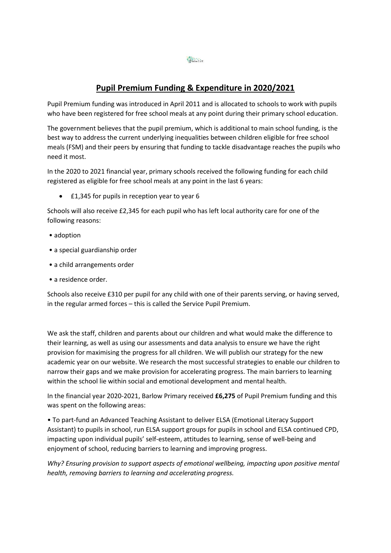## **Pupil Premium Funding & Expenditure in 2020/2021**

Pupil Premium funding was introduced in April 2011 and is allocated to schools to work with pupils who have been registered for free school meals at any point during their primary school education.

The government believes that the pupil premium, which is additional to main school funding, is the best way to address the current underlying inequalities between children eligible for free school meals (FSM) and their peers by ensuring that funding to tackle disadvantage reaches the pupils who need it most.

In the 2020 to 2021 financial year, primary schools received the following funding for each child registered as eligible for free school meals at any point in the last 6 years:

• £1,345 for pupils in reception year to year 6

Schools will also receive £2,345 for each pupil who has left local authority care for one of the following reasons:

- adoption
- a special guardianship order
- a child arrangements order
- a residence order.

Schools also receive £310 per pupil for any child with one of their parents serving, or having served, in the regular armed forces – this is called the Service Pupil Premium.

We ask the staff, children and parents about our children and what would make the difference to their learning, as well as using our assessments and data analysis to ensure we have the right provision for maximising the progress for all children. We will publish our strategy for the new academic year on our website. We research the most successful strategies to enable our children to narrow their gaps and we make provision for accelerating progress. The main barriers to learning within the school lie within social and emotional development and mental health.

In the financial year 2020-2021, Barlow Primary received **£6,275** of Pupil Premium funding and this was spent on the following areas:

• To part-fund an Advanced Teaching Assistant to deliver ELSA (Emotional Literacy Support Assistant) to pupils in school, run ELSA support groups for pupils in school and ELSA continued CPD, impacting upon individual pupils' self-esteem, attitudes to learning, sense of well-being and enjoyment of school, reducing barriers to learning and improving progress.

*Why? Ensuring provision to support aspects of emotional wellbeing, impacting upon positive mental health, removing barriers to learning and accelerating progress.*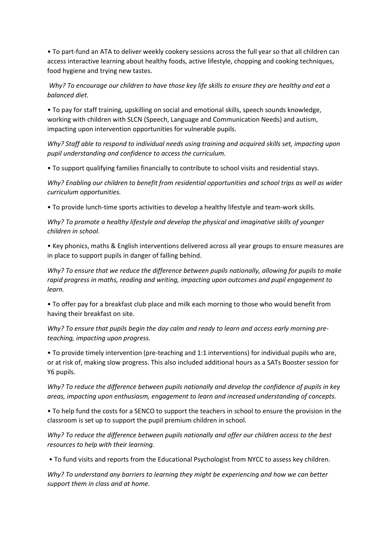• To part-fund an ATA to deliver weekly cookery sessions across the full year so that all children can access interactive learning about healthy foods, active lifestyle, chopping and cooking techniques, food hygiene and trying new tastes.

*Why? To encourage our children to have those key life skills to ensure they are healthy and eat a balanced diet.* 

• To pay for staff training, upskilling on social and emotional skills, speech sounds knowledge, working with children with SLCN (Speech, Language and Communication Needs) and autism, impacting upon intervention opportunities for vulnerable pupils.

*Why? Staff able to respond to individual needs using training and acquired skills set, impacting upon pupil understanding and confidence to access the curriculum.* 

• To support qualifying families financially to contribute to school visits and residential stays.

*Why? Enabling our children to benefit from residential opportunities and school trips as well as wider curriculum opportunities.* 

• To provide lunch-time sports activities to develop a healthy lifestyle and team-work skills.

*Why? To promote a healthy lifestyle and develop the physical and imaginative skills of younger children in school.* 

• Key phonics, maths & English interventions delivered across all year groups to ensure measures are in place to support pupils in danger of falling behind.

*Why? To ensure that we reduce the difference between pupils nationally, allowing for pupils to make rapid progress in maths, reading and writing, impacting upon outcomes and pupil engagement to learn.* 

• To offer pay for a breakfast club place and milk each morning to those who would benefit from having their breakfast on site.

*Why? To ensure that pupils begin the day calm and ready to learn and access early morning preteaching, impacting upon progress.* 

• To provide timely intervention (pre-teaching and 1:1 interventions) for individual pupils who are, or at risk of, making slow progress. This also included additional hours as a SATs Booster session for Y6 pupils.

*Why? To reduce the difference between pupils nationally and develop the confidence of pupils in key areas, impacting upon enthusiasm, engagement to learn and increased understanding of concepts.* 

• To help fund the costs for a SENCO to support the teachers in school to ensure the provision in the classroom is set up to support the pupil premium children in school.

*Why? To reduce the difference between pupils nationally and offer our children access to the best resources to help with their learning.*

• To fund visits and reports from the Educational Psychologist from NYCC to assess key children.

*Why? To understand any barriers to learning they might be experiencing and how we can better support them in class and at home.*